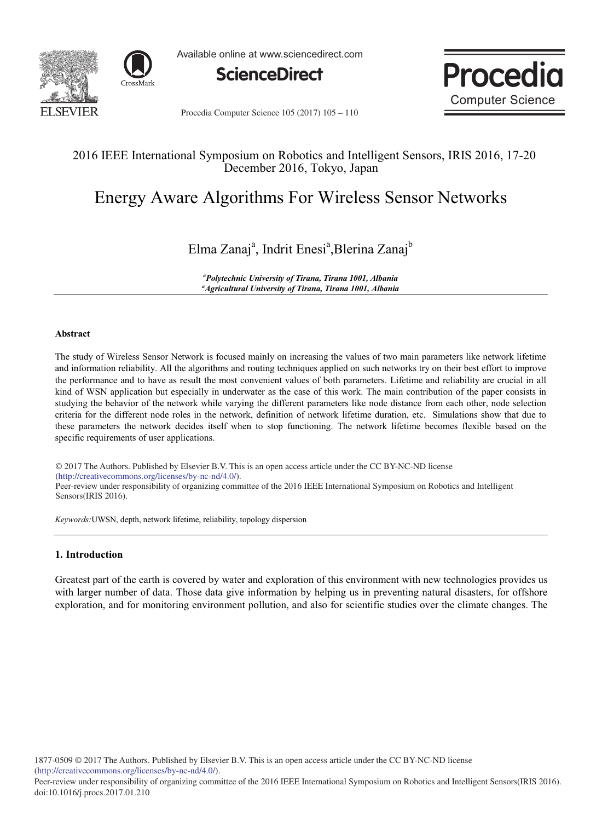



Available online at www.sciencedirect.com





Procedia Computer Science 105 (2017) 105 - 110

### 2016 IEEE International Symposium on Robotics and Intelligent Sensors, IRIS 2016, 17-20 December 2016, Tokyo, Japan

# Energy Aware Algorithms For Wireless Sensor Networks

## Elma Zanaj<sup>a</sup>, Indrit Enesi<sup>a</sup>, Blerina Zanaj<sup>b</sup>

<sup>a</sup>Polytechnic University of Tirana, Tirana 1001, Albanid "Agricultural University of Tirana, Tirana 1001, Albania

#### Abstract

The study of Wireless Sensor Network is focused mainly on increasing the values of two main parameters like network lifetime and information reliability. All the algorithms and routing techniques applied on such networks try on their best effort to improve the performance and to have as result the most convenient values of both parameters. Lifetime and reliability are crucial in all kind of WSN application but especially in underwater as the case of this work. The main contribution of the paper consists in studying the behavior of the network while varying the different parameters like node distance from each other, node selection criteria for the different node roles in the network, definition of network lifetime duration, etc. Simulations show that due to these parameters the network decides itself when to stop functioning. The network lifetime becomes flexible based on the specific requirements of user applications.

(http://creativecommons.org/licenses/by-nc-nd/4.0/). Peer-review under responsibility of organizing committee of the 2016 IEEE International Symposium on Robotics and Intelligent Sensors(IRIS 2016). © 2017 The Authors. Published by Elsevier B.V. This is an open access article under the CC BY-NC-ND license

Keywords: UWSN, depth, network lifetime, reliability, topology dispersion

#### 1. Introduction

Greatest part of the earth is covered by water and exploration of this environment with new technologies provides us with larger number of data. Those data give information by helping us in preventing natural disasters, for offshore exploration, and for monitoring environment pollution, and also for scientific studies over the climate changes. The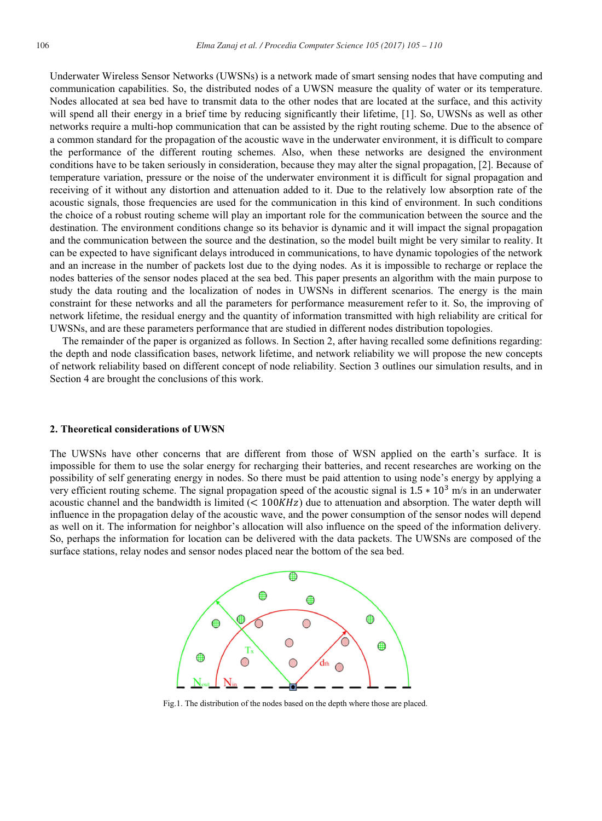Underwater Wireless Sensor Networks (UWSNs) is a network made of smart sensing nodes that have computing and communication capabilities. So, the distributed nodes of a UWSN measure the quality of water or its temperature. Nodes allocated at sea bed have to transmit data to the other nodes that are located at the surface, and this activity will spend all their energy in a brief time by reducing significantly their lifetime, [1]. So, UWSNs as well as other networks require a multi-hop communication that can be assisted by the right routing scheme. Due to the absence of a common standard for the propagation of the acoustic wave in the underwater environment, it is difficult to compare the performance of the different routing schemes. Also, when these networks are designed the environment conditions have to be taken seriously in consideration, because they may alter the signal propagation, [2]. Because of temperature variation, pressure or the noise of the underwater environment it is difficult for signal propagation and receiving of it without any distortion and attenuation added to it. Due to the relatively low absorption rate of the acoustic signals, those frequencies are used for the communication in this kind of environment. In such conditions the choice of a robust routing scheme will play an important role for the communication between the source and the destination. The environment conditions change so its behavior is dynamic and it will impact the signal propagation and the communication between the source and the destination, so the model built might be very similar to reality. It can be expected to have significant delays introduced in communications, to have dynamic topologies of the network and an increase in the number of packets lost due to the dying nodes. As it is impossible to recharge or replace the nodes batteries of the sensor nodes placed at the sea bed. This paper presents an algorithm with the main purpose to study the data routing and the localization of nodes in UWSNs in different scenarios. The energy is the main constraint for these networks and all the parameters for performance measurement refer to it. So, the improving of network lifetime, the residual energy and the quantity of information transmitted with high reliability are critical for UWSNs, and are these parameters performance that are studied in different nodes distribution topologies.

The remainder of the paper is organized as follows. In Section 2, after having recalled some definitions regarding: the depth and node classification bases, network lifetime, and network reliability we will propose the new concepts of network reliability based on different concept of node reliability. Section 3 outlines our simulation results, and in Section 4 are brought the conclusions of this work.

#### 2. Theoretical considerations of UWSN

The UWSNs have other concerns that are different from those of WSN applied on the earth's surface. It is impossible for them to use the solar energy for recharging their batteries, and recent researches are working on the possibility of self generating energy in nodes. So there must be paid attention to using node's energy by applying a very efficient routing scheme. The signal propagation speed of the acoustic signal is  $1.5 * 10^3$  m/s in an underwater acoustic channel and the bandwidth is limited ( $\lt$  100KHz) due to attenuation and absorption. The water depth will influence in the propagation delay of the acoustic wave, and the power consumption of the sensor nodes will depend as well on it. The information for neighbor's allocation will also influence on the speed of the information delivery. So, perhaps the information for location can be delivered with the data packets. The UWSNs are composed of the surface stations, relay nodes and sensor nodes placed near the bottom of the sea bed.



Fig.1. The distribution of the nodes based on the depth where those are placed.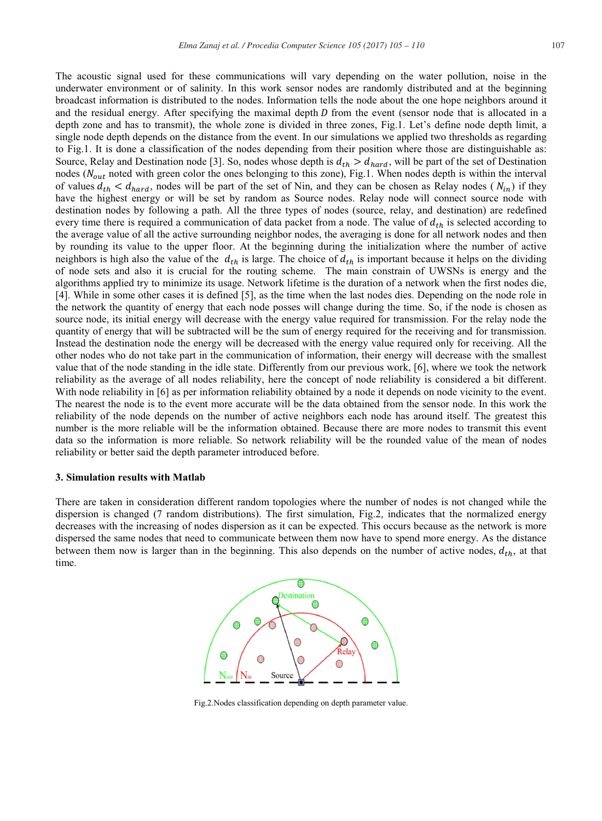The acoustic signal used for these communications will vary depending on the water pollution, noise in the underwater environment or of salinity. In this work sensor nodes are randomly distributed and at the beginning broadcast information is distributed to the nodes. Information tells the node about the one hope neighbors around it and the residual energy. After specifying the maximal depth  $D$  from the event (sensor node that is allocated in a depth zone and has to transmit), the whole zone is divided in three zones, Fig.1. Let's define node depth limit, a single node depth depends on the distance from the event. In our simulations we applied two thresholds as regarding to Fig.1. It is done a classification of the nodes depending from their position where those are distinguishable as: Source, Relay and Destination node [3]. So, nodes whose depth is  $d_{th} > d_{hard}$ , will be part of the set of Destination nodes ( $N_{out}$  noted with green color the ones belonging to this zone), Fig.1. When nodes depth is within the interval of values  $d_{th} < d_{hard}$ , nodes will be part of the set of Nin, and they can be chosen as Relay nodes ( $N_{in}$ ) if they have the highest energy or will be set by random as Source nodes. Relay node will connect source node with destination nodes by following a path. All the three types of nodes (source, relay, and destination) are redefined every time there is required a communication of data packet from a node. The value of  $d_{th}$  is selected according to the average value of all the active surrounding neighbor nodes, the averaging is done for all network nodes and then by rounding its value to the upper floor. At the beginning during the initialization where the number of active neighbors is high also the value of the  $d_{th}$  is large. The choice of  $d_{th}$  is important because it helps on the dividing of node sets and also it is crucial for the routing scheme. The main constrain of UWSNs is energy and the algorithms applied try to minimize its usage. Network lifetime is the duration of a network when the first nodes die, [4]. While in some other cases it is defined [5], as the time when the last nodes dies. Depending on the node role in the network the quantity of energy that each node posses will change during the time. So, if the node is chosen as source node, its initial energy will decrease with the energy value required for transmission. For the relay node the quantity of energy that will be subtracted will be the sum of energy required for the receiving and for transmission. Instead the destination node the energy will be decreased with the energy value required only for receiving. All the other nodes who do not take part in the communication of information, their energy will decrease with the smallest value that of the node standing in the idle state. Differently from our previous work, [6], where we took the network reliability as the average of all nodes reliability, here the concept of node reliability is considered a bit different. With node reliability in [6] as per information reliability obtained by a node it depends on node vicinity to the event. The nearest the node is to the event more accurate will be the data obtained from the sensor node. In this work the reliability of the node depends on the number of active neighbors each node has around itself. The greatest this number is the more reliable will be the information obtained. Because there are more nodes to transmit this event data so the information is more reliable. So network reliability will be the rounded value of the mean of nodes reliability or better said the depth parameter introduced before.

#### 3. Simulation results with Matlab

There are taken in consideration different random topologies where the number of nodes is not changed while the dispersion is changed (7 random distributions). The first simulation, Fig.2, indicates that the normalized energy decreases with the increasing of nodes dispersion as it can be expected. This occurs because as the network is more dispersed the same nodes that need to communicate between them now have to spend more energy. As the distance between them now is larger than in the beginning. This also depends on the number of active nodes,  $d_{th}$ , at that time.



Fig.2. Nodes classification depending on depth parameter value.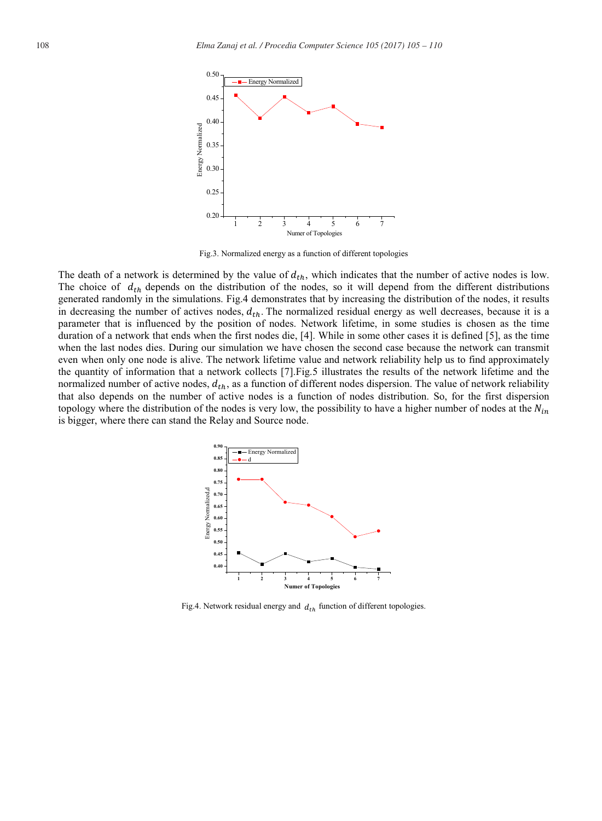

Fig.3. Normalized energy as a function of different topologies

The death of a network is determined by the value of  $d_{th}$ , which indicates that the number of active nodes is low. The choice of  $d_{th}$  depends on the distribution of the nodes, so it will depend from the different distributions generated randomly in the simulations. Fig.4 demonstrates that by increasing the distribution of the nodes, it results in decreasing the number of actives nodes,  $d_{th}$ . The normalized residual energy as well decreases, because it is a parameter that is influenced by the position of nodes. Network lifetime, in some studies is chosen as the time duration of a network that ends when the first nodes die, [4]. While in some other cases it is defined [5], as the time when the last nodes dies. During our simulation we have chosen the second case because the network can transmit even when only one node is alive. The network lifetime value and network reliability help us to find approximately the quantity of information that a network collects [7]. Fig. 5 illustrates the results of the network lifetime and the normalized number of active nodes,  $d_{th}$ , as a function of different nodes dispersion. The value of network reliability that also depends on the number of active nodes is a function of nodes distribution. So, for the first dispersion topology where the distribution of the nodes is very low, the possibility to have a higher number of nodes at the  $N_{in}$ is bigger, where there can stand the Relay and Source node.



Fig.4. Network residual energy and  $d_{th}$  function of different topologies.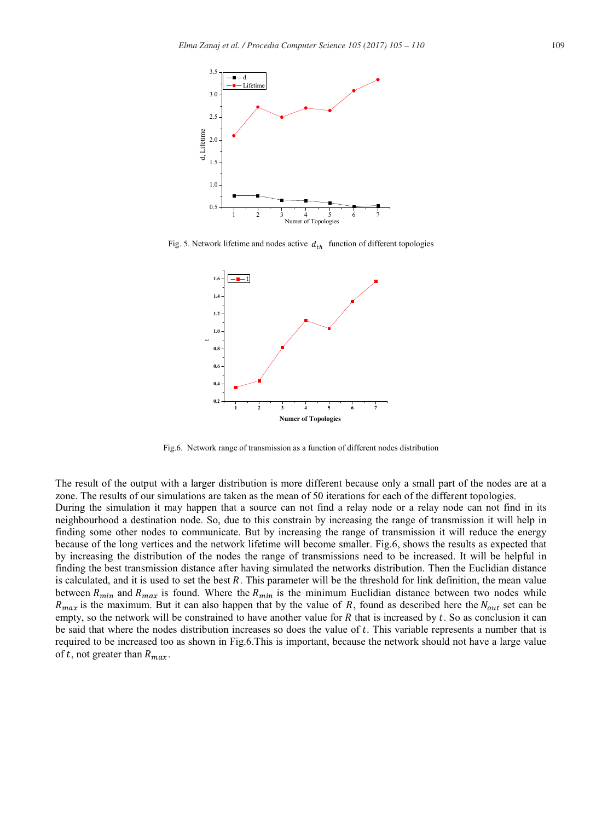

Fig. 5. Network lifetime and nodes active  $d_{th}$  function of different topologies



Fig.6. Network range of transmission as a function of different nodes distribution

The result of the output with a larger distribution is more different because only a small part of the nodes are at a zone. The results of our simulations are taken as the mean of 50 iterations for each of the different topologies. During the simulation it may happen that a source can not find a relay node or a relay node can not find in its neighbourhood a destination node. So, due to this constrain by increasing the range of transmission it will help in finding some other nodes to communicate. But by increasing the range of transmission it will reduce the energy because of the long vertices and the network lifetime will become smaller. Fig.6, shows the results as expected that by increasing the distribution of the nodes the range of transmissions need to be increased. It will be helpful in finding the best transmission distance after having simulated the networks distribution. Then the Euclidian distance is calculated, and it is used to set the best R. This parameter will be the threshold for link definition, the mean value between  $R_{min}$  and  $R_{max}$  is found. Where the  $R_{min}$  is the minimum Euclidian distance between two nodes while  $R_{max}$  is the maximum. But it can also happen that by the value of R, found as described here the  $N_{out}$  set can be empty, so the network will be constrained to have another value for  $R$  that is increased by  $t$ . So as conclusion it can be said that where the nodes distribution increases so does the value of t. This variable represents a number that is required to be increased too as shown in Fig.6.This is important, because the network should not have a large value of t, not greater than  $R_{max}$ .